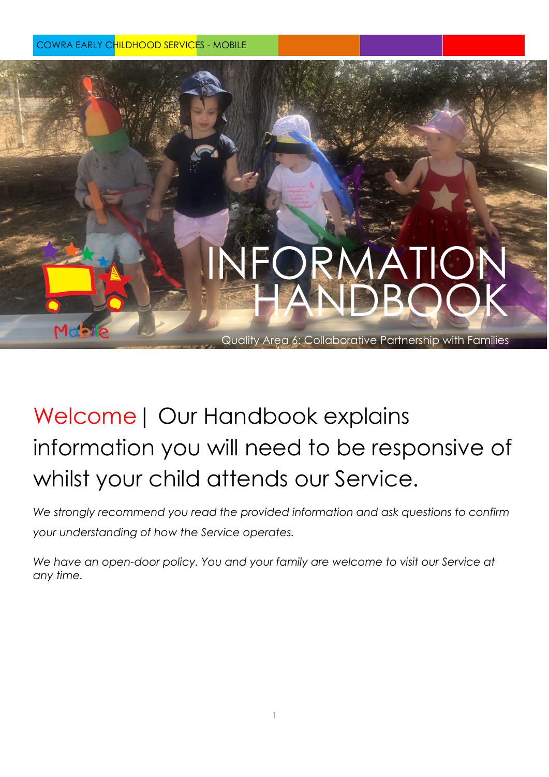COWRA EARLY CHILDHOOD SERVICES - MOBILE

# INFORM HANDBOOK

Quality Area 6: Collaborative Partnership with Families

# Welcome| Our Handbook explains information you will need to be responsive of whilst your child attends our Service.

*We strongly recommend you read the provided information and ask questions to confirm your understanding of how the Service operates.* 

*We have an open-door policy. You and your family are welcome to visit our Service at any time.*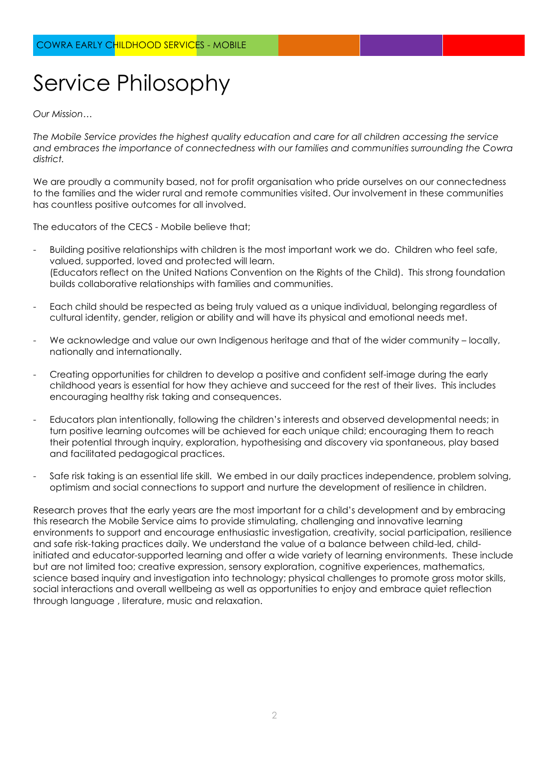# Service Philosophy

*Our Mission…*

*The Mobile Service provides the highest quality education and care for all children accessing the service and embraces the importance of connectedness with our families and communities surrounding the Cowra district.*

We are proudly a community based, not for profit organisation who pride ourselves on our connectedness to the families and the wider rural and remote communities visited. Our involvement in these communities has countless positive outcomes for all involved.

The educators of the CECS - Mobile believe that;

- Building positive relationships with children is the most important work we do. Children who feel safe, valued, supported, loved and protected will learn. (Educators reflect on the United Nations Convention on the Rights of the Child). This strong foundation builds collaborative relationships with families and communities.
- Each child should be respected as being truly valued as a unique individual, belonging regardless of cultural identity, gender, religion or ability and will have its physical and emotional needs met.
- We acknowledge and value our own Indigenous heritage and that of the wider community locally, nationally and internationally.
- Creating opportunities for children to develop a positive and confident self-image during the early childhood years is essential for how they achieve and succeed for the rest of their lives. This includes encouraging healthy risk taking and consequences.
- Educators plan intentionally, following the children's interests and observed developmental needs; in turn positive learning outcomes will be achieved for each unique child; encouraging them to reach their potential through inquiry, exploration, hypothesising and discovery via spontaneous, play based and facilitated pedagogical practices.
- Safe risk taking is an essential life skill. We embed in our daily practices independence, problem solving, optimism and social connections to support and nurture the development of resilience in children.

Research proves that the early years are the most important for a child's development and by embracing this research the Mobile Service aims to provide stimulating, challenging and innovative learning environments to support and encourage enthusiastic investigation, creativity, social participation, resilience and safe risk-taking practices daily. We understand the value of a balance between child-led, childinitiated and educator-supported learning and offer a wide variety of learning environments. These include but are not limited too; creative expression, sensory exploration, cognitive experiences, mathematics, science based inquiry and investigation into technology; physical challenges to promote gross motor skills, social interactions and overall wellbeing as well as opportunities to enjoy and embrace quiet reflection through language , literature, music and relaxation.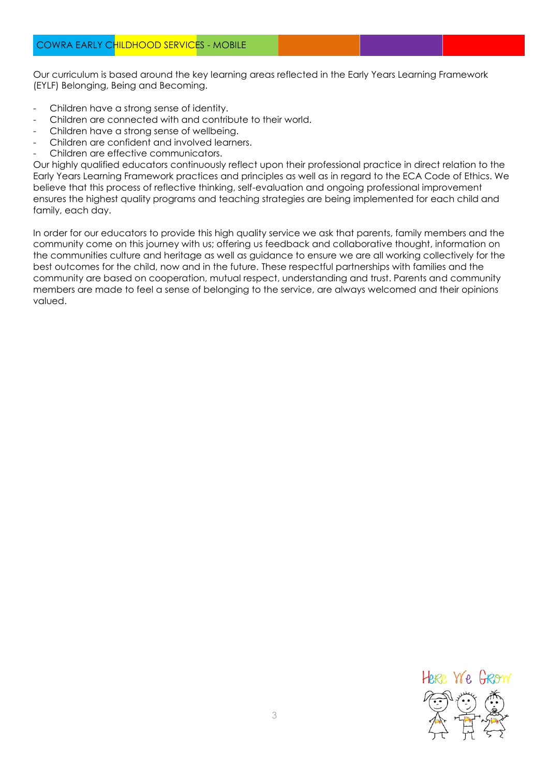Our curriculum is based around the key learning areas reflected in the Early Years Learning Framework (EYLF) Belonging, Being and Becoming.

- Children have a strong sense of identity.
- Children are connected with and contribute to their world.
- Children have a strong sense of wellbeing.
- Children are confident and involved learners.
- Children are effective communicators.

Our highly qualified educators continuously reflect upon their professional practice in direct relation to the Early Years Learning Framework practices and principles as well as in regard to the ECA Code of Ethics. We believe that this process of reflective thinking, self-evaluation and ongoing professional improvement ensures the highest quality programs and teaching strategies are being implemented for each child and family, each day.

In order for our educators to provide this high quality service we ask that parents, family members and the community come on this journey with us; offering us feedback and collaborative thought, information on the communities culture and heritage as well as guidance to ensure we are all working collectively for the best outcomes for the child, now and in the future. These respectful partnerships with families and the community are based on cooperation, mutual respect, understanding and trust. Parents and community members are made to feel a sense of belonging to the service, are always welcomed and their opinions valued.

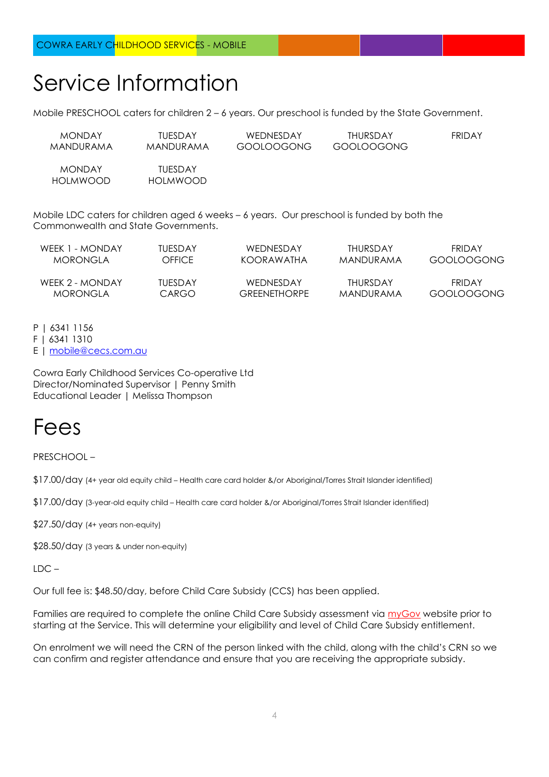### Service Information

HOLMWOOD HOLMWOOD

Mobile PRESCHOOL caters for children 2 – 6 years. Our preschool is funded by the State Government.

| <b>MONDAY</b> | TUESDAY   | WEDNESDAY  | THURSDAY   | FRIDAY |
|---------------|-----------|------------|------------|--------|
| MANDURAMA     | MANDURAMA | GOOLOOGONG | GOOLOOGONG |        |
| <b>MONDAY</b> | TUESDAY   |            |            |        |

Mobile LDC caters for children aged 6 weeks – 6 years. Our preschool is funded by both the Commonwealth and State Governments.

| WEEK 1 - MONDAY | TUESDAY | WEDNESDAY    | THURSDAY  | <b>FRIDAY</b> |
|-----------------|---------|--------------|-----------|---------------|
| MORONGI A       | OFFICE  | KOORAWATHA   | MANDURAMA | GOOLOOGONG    |
| WEEK 2 - MONDAY | TUESDAY | WEDNESDAY    | THURSDAY  | FRIDAY        |
| MORONGI A       | CARGO   | GRFFNFTHORPF | MANDURAMA | GOOLOOGONG    |

P | 6341 1156

F | 6341 1310

E | [mobile@cecs.com.au](mailto:mobile@cecs.com.au)

Cowra Early Childhood Services Co-operative Ltd Director/Nominated Supervisor | Penny Smith Educational Leader | Melissa Thompson

#### Fees

PRESCHOOL –

\$17.00/day (4+ year old equity child – Health care card holder &/or Aboriginal/Torres Strait Islander identified)

\$17.00/day (3-year-old equity child – Health care card holder &/or Aboriginal/Torres Strait Islander identified)

\$27.50/day (4+ years non-equity)

\$28.50/day (3 years & under non-equity)

LDC –

Our full fee is: \$48.50/day, before Child Care Subsidy (CCS) has been applied.

Families are required to complete the online Child Care Subsidy assessment via [myGov](https://my.gov.au/LoginServices/main/login?execution=e2s1) website prior to starting at the Service. This will determine your eligibility and level of Child Care Subsidy entitlement.

On enrolment we will need the CRN of the person linked with the child, along with the child's CRN so we can confirm and register attendance and ensure that you are receiving the appropriate subsidy.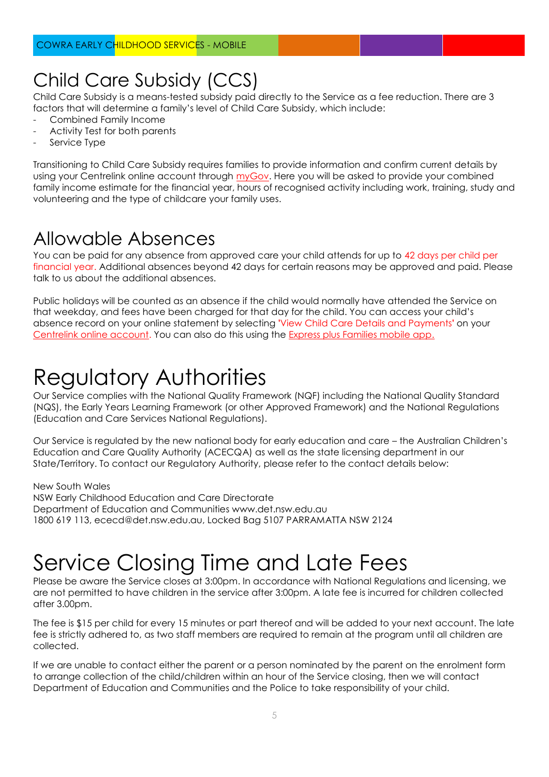#### Child Care Subsidy (CCS)

Child Care Subsidy is a means-tested subsidy paid directly to the Service as a fee reduction. There are 3 factors that will determine a family's level of Child Care Subsidy, which include:

- Combined Family Income
- Activity Test for both parents
- Service Type

Transitioning to Child Care Subsidy requires families to provide information and confirm current details by using your Centrelink online account through [myGov.](https://my.gov.au/LoginServices/main/login?execution=e2s1) Here you will be asked to provide your combined family income estimate for the financial year, hours of recognised activity including work, training, study and volunteering and the type of childcare your family uses.

#### Allowable Absences

You can be paid for any absence from approved care your child attends for up to 42 days per child per financial year. Additional absences beyond 42 days for certain reasons may be approved and paid. Please talk to us about the additional absences.

Public holidays will be counted as an absence if the child would normally have attended the Service on that weekday, and fees have been charged for that day for the child. You can access your child's absence record on your online statement by selecting **'**View Child Care Details and Payments**'** on your [Centrelink online account.](http://www.humanservices.gov.au/customer/subjects/self-service) You can also do this using the [Express plus Families mobile app.](http://www.humanservices.gov.au/customer/services/express-plus-mobile-apps)

### Regulatory Authorities

Our Service complies with the National Quality Framework (NQF) including the National Quality Standard (NQS), the Early Years Learning Framework (or other Approved Framework) and the National Regulations (Education and Care Services National Regulations).

Our Service is regulated by the new national body for early education and care – the Australian Children's Education and Care Quality Authority (ACECQA) as well as the state licensing department in our State/Territory. To contact our Regulatory Authority, please refer to the contact details below:

New South Wales NSW Early Childhood Education and Care Directorate Department of Education and Communities www.det.nsw.edu.au 1800 619 113, ececd@det.nsw.edu.au, Locked Bag 5107 PARRAMATTA NSW 2124

### Service Closing Time and Late Fees

Please be aware the Service closes at 3:00pm. In accordance with National Regulations and licensing, we are not permitted to have children in the service after 3:00pm. A late fee is incurred for children collected after 3.00pm.

The fee is \$15 per child for every 15 minutes or part thereof and will be added to your next account. The late fee is strictly adhered to, as two staff members are required to remain at the program until all children are collected.

If we are unable to contact either the parent or a person nominated by the parent on the enrolment form to arrange collection of the child/children within an hour of the Service closing, then we will contact Department of Education and Communities and the Police to take responsibility of your child.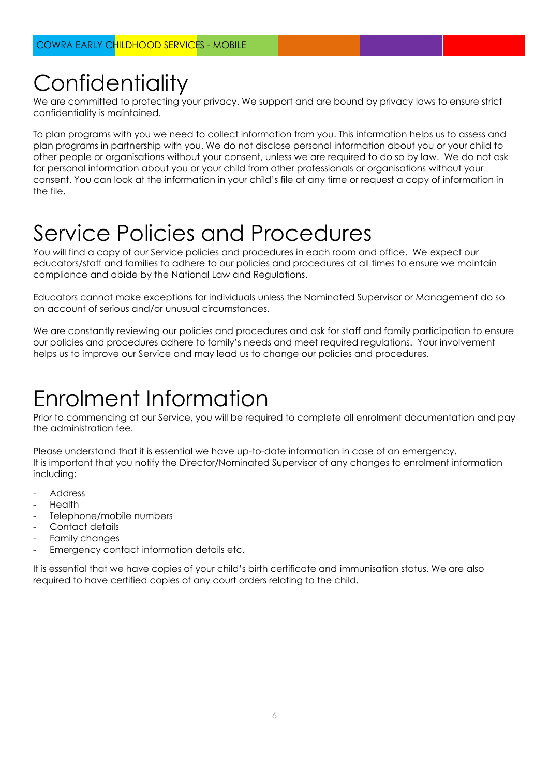## **Confidentiality**

We are committed to protecting your privacy. We support and are bound by privacy laws to ensure strict confidentiality is maintained.

To plan programs with you we need to collect information from you. This information helps us to assess and plan programs in partnership with you. We do not disclose personal information about you or your child to other people or organisations without your consent, unless we are required to do so by law. We do not ask for personal information about you or your child from other professionals or organisations without your consent. You can look at the information in your child's file at any time or request a copy of information in the file.

#### Service Policies and Procedures

You will find a copy of our Service policies and procedures in each room and office. We expect our educators/staff and families to adhere to our policies and procedures at all times to ensure we maintain compliance and abide by the National Law and Regulations.

Educators cannot make exceptions for individuals unless the Nominated Supervisor or Management do so on account of serious and/or unusual circumstances.

We are constantly reviewing our policies and procedures and ask for staff and family participation to ensure our policies and procedures adhere to family's needs and meet required regulations. Your involvement helps us to improve our Service and may lead us to change our policies and procedures.

### Enrolment Information

Prior to commencing at our Service, you will be required to complete all enrolment documentation and pay the administration fee.

Please understand that it is essential we have up-to-date information in case of an emergency. It is important that you notify the Director/Nominated Supervisor of any changes to enrolment information including:

- Address
- **Health**
- Telephone/mobile numbers
- Contact details
- Family changes
- Emergency contact information details etc.

It is essential that we have copies of your child's birth certificate and immunisation status. We are also required to have certified copies of any court orders relating to the child.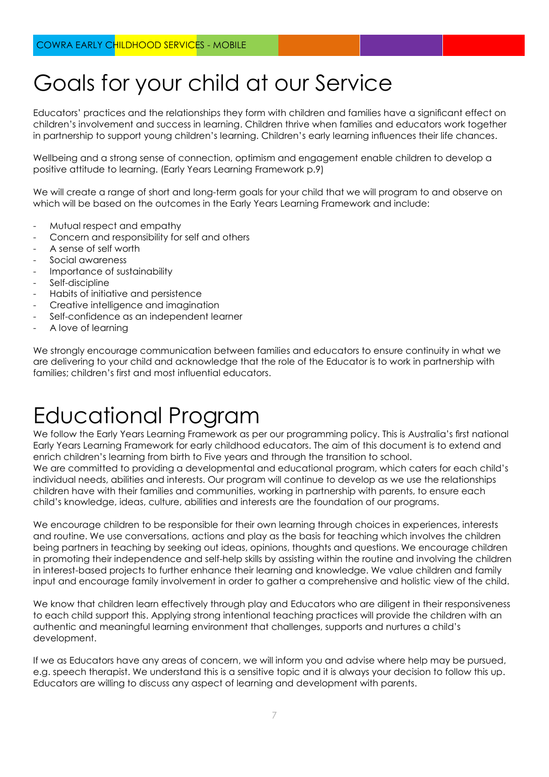### Goals for your child at our Service

Educators' practices and the relationships they form with children and families have a significant effect on children's involvement and success in learning. Children thrive when families and educators work together in partnership to support young children's learning. Children's early learning influences their life chances.

Wellbeing and a strong sense of connection, optimism and engagement enable children to develop a positive attitude to learning. (Early Years Learning Framework p.9)

We will create a range of short and long-term goals for your child that we will program to and observe on which will be based on the outcomes in the Early Years Learning Framework and include:

- Mutual respect and empathy
- Concern and responsibility for self and others
- A sense of self worth
- Social awareness
- Importance of sustainability
- Self-discipline
- Habits of initiative and persistence
- Creative intelligence and imagination
- Self-confidence as an independent learner
- A love of learning

We strongly encourage communication between families and educators to ensure continuity in what we are delivering to your child and acknowledge that the role of the Educator is to work in partnership with families; children's first and most influential educators.

### Educational Program

We follow the Early Years Learning Framework as per our programming policy. This is Australia's first national Early Years Learning Framework for early childhood educators. The aim of this document is to extend and enrich children's learning from birth to Five years and through the transition to school. We are committed to providing a developmental and educational program, which caters for each child's individual needs, abilities and interests. Our program will continue to develop as we use the relationships children have with their families and communities, working in partnership with parents, to ensure each child's knowledge, ideas, culture, abilities and interests are the foundation of our programs.

We encourage children to be responsible for their own learning through choices in experiences, interests and routine. We use conversations, actions and play as the basis for teaching which involves the children being partners in teaching by seeking out ideas, opinions, thoughts and questions. We encourage children in promoting their independence and self-help skills by assisting within the routine and involving the children in interest-based projects to further enhance their learning and knowledge. We value children and family input and encourage family involvement in order to gather a comprehensive and holistic view of the child.

We know that children learn effectively through play and Educators who are diligent in their responsiveness to each child support this. Applying strong intentional teaching practices will provide the children with an authentic and meaningful learning environment that challenges, supports and nurtures a child's development.

If we as Educators have any areas of concern, we will inform you and advise where help may be pursued, e.g. speech therapist. We understand this is a sensitive topic and it is always your decision to follow this up. Educators are willing to discuss any aspect of learning and development with parents.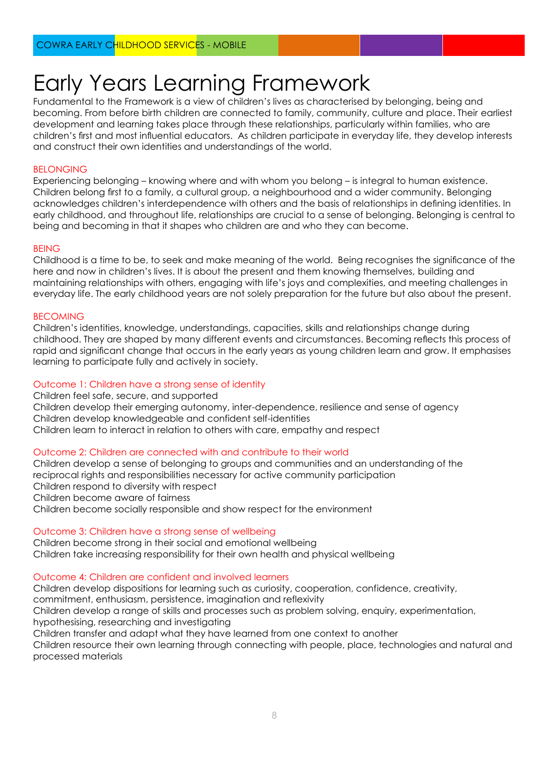### Early Years Learning Framework

Fundamental to the Framework is a view of children's lives as characterised by belonging, being and becoming. From before birth children are connected to family, community, culture and place. Their earliest development and learning takes place through these relationships, particularly within families, who are children's first and most influential educators. As children participate in everyday life, they develop interests and construct their own identities and understandings of the world.

#### **BELONGING**

Experiencing belonging – knowing where and with whom you belong – is integral to human existence. Children belong first to a family, a cultural group, a neighbourhood and a wider community. Belonging acknowledges children's interdependence with others and the basis of relationships in defining identities. In early childhood, and throughout life, relationships are crucial to a sense of belonging. Belonging is central to being and becoming in that it shapes who children are and who they can become.

#### BEING

Childhood is a time to be, to seek and make meaning of the world. Being recognises the significance of the here and now in children's lives. It is about the present and them knowing themselves, building and maintaining relationships with others, engaging with life's joys and complexities, and meeting challenges in everyday life. The early childhood years are not solely preparation for the future but also about the present.

#### BECOMING

Children's identities, knowledge, understandings, capacities, skills and relationships change during childhood. They are shaped by many different events and circumstances. Becoming reflects this process of rapid and significant change that occurs in the early years as young children learn and grow. It emphasises learning to participate fully and actively in society.

#### Outcome 1: Children have a strong sense of identity

Children feel safe, secure, and supported Children develop their emerging autonomy, inter-dependence, resilience and sense of agency Children develop knowledgeable and confident self-identities Children learn to interact in relation to others with care, empathy and respect

#### Outcome 2: Children are connected with and contribute to their world

Children develop a sense of belonging to groups and communities and an understanding of the reciprocal rights and responsibilities necessary for active community participation Children respond to diversity with respect Children become aware of fairness Children become socially responsible and show respect for the environment

#### Outcome 3: Children have a strong sense of wellbeing

Children become strong in their social and emotional wellbeing Children take increasing responsibility for their own health and physical wellbeing

#### Outcome 4: Children are confident and involved learners

Children develop dispositions for learning such as curiosity, cooperation, confidence, creativity,

commitment, enthusiasm, persistence, imagination and reflexivity

Children develop a range of skills and processes such as problem solving, enquiry, experimentation,

hypothesising, researching and investigating

Children transfer and adapt what they have learned from one context to another

Children resource their own learning through connecting with people, place, technologies and natural and processed materials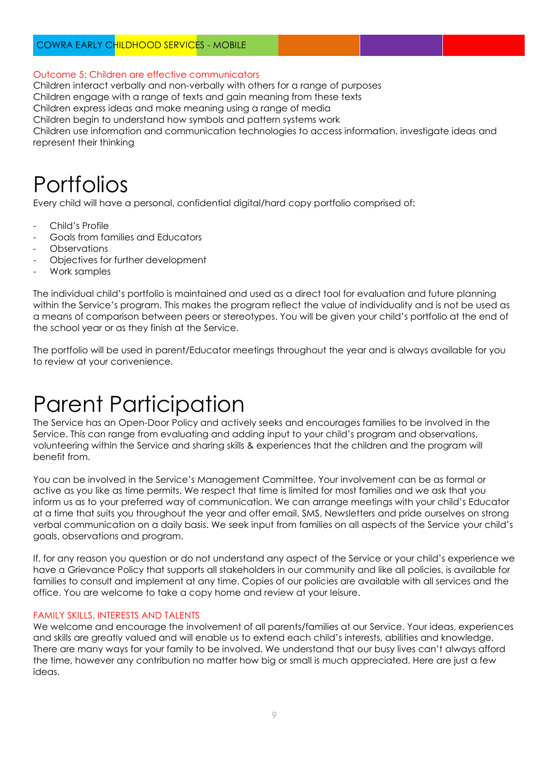#### COWRA EARLY CHILDHOOD SERVICES - MOBILE

#### Outcome 5: Children are effective communicators

Children interact verbally and non-verbally with others for a range of purposes

Children engage with a range of texts and gain meaning from these texts

Children express ideas and make meaning using a range of media

Children begin to understand how symbols and pattern systems work

Children use information and communication technologies to access information, investigate ideas and represent their thinking

#### **Portfolios**

Every child will have a personal, confidential digital/hard copy portfolio comprised of:

- Child's Profile
- Goals from families and Educators
- **Observations**
- Objectives for further development
- Work samples

The individual child's portfolio is maintained and used as a direct tool for evaluation and future planning within the Service's program. This makes the program reflect the value of individuality and is not be used as a means of comparison between peers or stereotypes. You will be given your child's portfolio at the end of the school year or as they finish at the Service.

The portfolio will be used in parent/Educator meetings throughout the year and is always available for you to review at your convenience.

### Parent Participation

The Service has an Open-Door Policy and actively seeks and encourages families to be involved in the Service. This can range from evaluating and adding input to your child's program and observations, volunteering within the Service and sharing skills & experiences that the children and the program will benefit from.

You can be involved in the Service's Management Committee. Your involvement can be as formal or active as you like as time permits. We respect that time is limited for most families and we ask that you inform us as to your preferred way of communication. We can arrange meetings with your child's Educator at a time that suits you throughout the year and offer email, SMS, Newsletters and pride ourselves on strong verbal communication on a daily basis. We seek input from families on all aspects of the Service your child's goals, observations and program.

If, for any reason you question or do not understand any aspect of the Service or your child's experience we have a Grievance Policy that supports all stakeholders in our community and like all policies, is available for families to consult and implement at any time. Copies of our policies are available with all services and the office. You are welcome to take a copy home and review at your leisure.

#### FAMILY SKILLS, INTERESTS AND TALENTS

We welcome and encourage the involvement of all parents/families at our Service. Your ideas, experiences and skills are greatly valued and will enable us to extend each child's interests, abilities and knowledge. There are many ways for your family to be involved. We understand that our busy lives can't always afford the time, however any contribution no matter how big or small is much appreciated. Here are just a few ideas.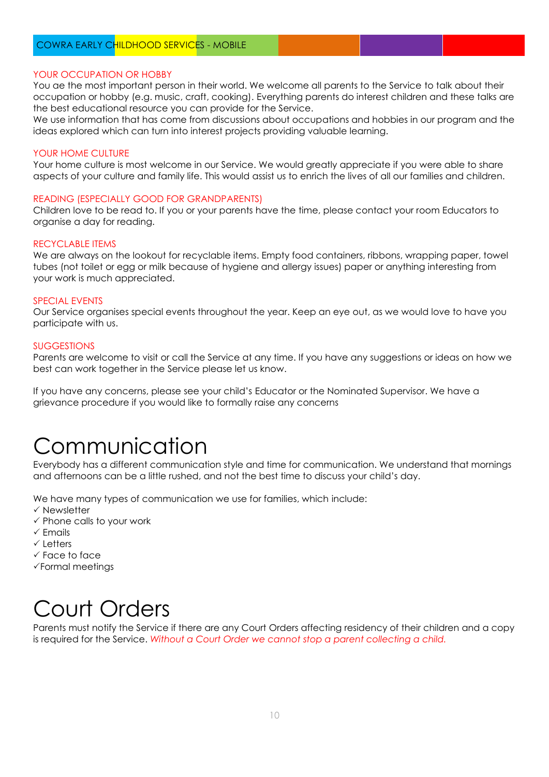#### YOUR OCCUPATION OR HOBBY

You ae the most important person in their world. We welcome all parents to the Service to talk about their occupation or hobby (e.g. music, craft, cooking). Everything parents do interest children and these talks are the best educational resource you can provide for the Service.

We use information that has come from discussions about occupations and hobbies in our program and the ideas explored which can turn into interest projects providing valuable learning.

#### YOUR HOME CULTURE

Your home culture is most welcome in our Service. We would greatly appreciate if you were able to share aspects of your culture and family life. This would assist us to enrich the lives of all our families and children.

#### READING (ESPECIALLY GOOD FOR GRANDPARENTS)

Children love to be read to. If you or your parents have the time, please contact your room Educators to organise a day for reading.

#### RECYCLABLE ITEMS

We are always on the lookout for recyclable items. Empty food containers, ribbons, wrapping paper, towel tubes (not toilet or egg or milk because of hygiene and allergy issues) paper or anything interesting from your work is much appreciated.

#### SPECIAL EVENTS

Our Service organises special events throughout the year. Keep an eye out, as we would love to have you participate with us.

#### **SUGGESTIONS**

Parents are welcome to visit or call the Service at any time. If you have any suggestions or ideas on how we best can work together in the Service please let us know.

If you have any concerns, please see your child's Educator or the Nominated Supervisor. We have a grievance procedure if you would like to formally raise any concerns

### Communication

Everybody has a different communication style and time for communication. We understand that mornings and afternoons can be a little rushed, and not the best time to discuss your child's day.

We have many types of communication we use for families, which include:

- $\checkmark$  Newsletter
- $\checkmark$  Phone calls to your work
- $\checkmark$  Emails
- $\checkmark$  Letters
- $\checkmark$  Face to face
- Formal meetings

#### Court Orders

Parents must notify the Service if there are any Court Orders affecting residency of their children and a copy is required for the Service. *Without a Court Order we cannot stop a parent collecting a child.*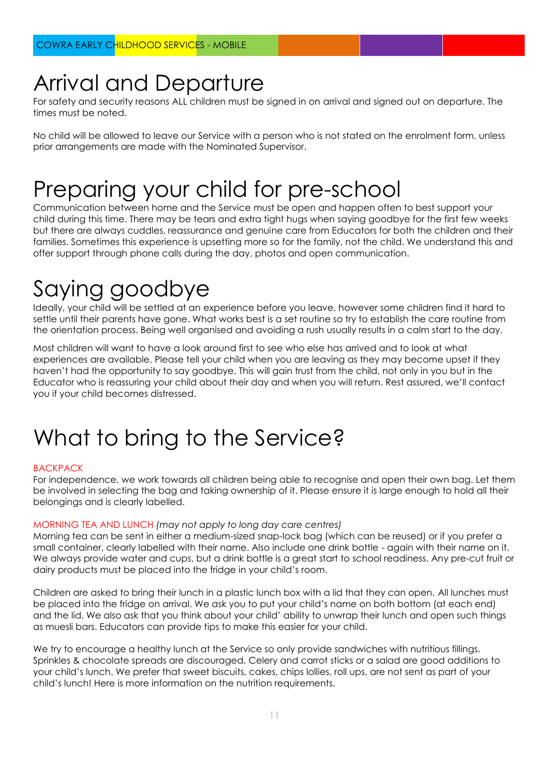#### Arrival and Departure

For safety and security reasons ALL children must be signed in on arrival and signed out on departure. The times must be noted.

No child will be allowed to leave our Service with a person who is not stated on the enrolment form, unless prior arrangements are made with the Nominated Supervisor.

### Preparing your child for pre-school

Communication between home and the Service must be open and happen often to best support your child during this time. There may be tears and extra tight hugs when saying goodbye for the first few weeks but there are always cuddles, reassurance and genuine care from Educators for both the children and their families. Sometimes this experience is upsetting more so for the family, not the child. We understand this and offer support through phone calls during the day, photos and open communication.

# Saying goodbye

Ideally, your child will be settled at an experience before you leave, however some children find it hard to settle until their parents have gone. What works best is a set routine so try to establish the care routine from the orientation process. Being well organised and avoiding a rush usually results in a calm start to the day.

Most children will want to have a look around first to see who else has arrived and to look at what experiences are available. Please tell your child when you are leaving as they may become upset if they haven't had the opportunity to say goodbye. This will gain trust from the child, not only in you but in the Educator who is reassuring your child about their day and when you will return. Rest assured, we'll contact you if your child becomes distressed.

### What to bring to the Service?

#### BACKPACK

For independence, we work towards all children being able to recognise and open their own bag. Let them be involved in selecting the bag and taking ownership of it. Please ensure it is large enough to hold all their belongings and is clearly labelled.

#### MORNING TEA AND LUNCH *(may not apply to long day care centres)*

Morning tea can be sent in either a medium-sized snap-lock bag (which can be reused) or if you prefer a small container, clearly labelled with their name. Also include one drink bottle - again with their name on it. We always provide water and cups, but a drink bottle is a great start to school readiness. Any pre-cut fruit or dairy products must be placed into the fridge in your child's room.

Children are asked to bring their lunch in a plastic lunch box with a lid that they can open. All lunches must be placed into the fridge on arrival. We ask you to put your child's name on both bottom (at each end) and the lid. We also ask that you think about your child' ability to unwrap their lunch and open such things as muesli bars. Educators can provide tips to make this easier for your child.

We try to encourage a healthy lunch at the Service so only provide sandwiches with nutritious fillings. Sprinkles & chocolate spreads are discouraged. Celery and carrot sticks or a salad are good additions to your child's lunch. We prefer that sweet biscuits, cakes, chips lollies, roll ups, are not sent as part of your child's lunch! Here is more information on the nutrition requirements.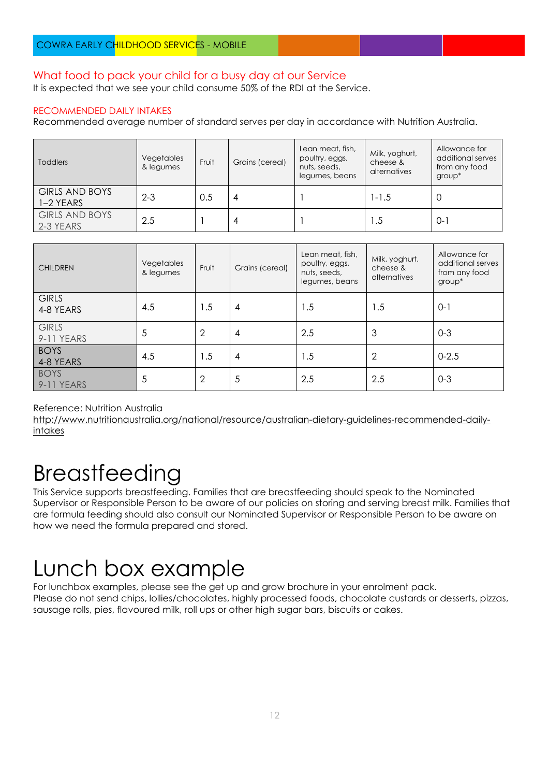#### What food to pack your child for a busy day at our Service

It is expected that we see your child consume 50% of the RDI at the Service.

#### RECOMMENDED DAILY INTAKES

Recommended average number of standard serves per day in accordance with Nutrition Australia.

| <b>Toddlers</b>                    | Vegetables<br>& legumes | Fruit | Grains (cereal) | Lean meat, fish,<br>poultry, eggs,<br>nuts, seeds,<br>legumes, beans | Milk, yoghurt,<br>cheese &<br>alternatives | Allowance for<br>additional serves<br>from any food<br>group* |
|------------------------------------|-------------------------|-------|-----------------|----------------------------------------------------------------------|--------------------------------------------|---------------------------------------------------------------|
| <b>GIRLS AND BOYS</b><br>1-2 YEARS | $2 - 3$                 | 0.5   | 4               |                                                                      | $1 - 1.5$                                  | U                                                             |
| <b>GIRLS AND BOYS</b><br>2-3 YEARS | 2.5                     |       | 4               |                                                                      | 1.5                                        | $0 - 7$                                                       |

| <b>CHILDREN</b>            | Vegetables<br>& legumes | Fruit          | Grains (cereal) | Lean meat, fish,<br>poultry, eggs,<br>nuts, seeds,<br>legumes, beans | Milk, yoghurt,<br>cheese &<br>alternatives | Allowance for<br>additional serves<br>from any food<br>group* |
|----------------------------|-------------------------|----------------|-----------------|----------------------------------------------------------------------|--------------------------------------------|---------------------------------------------------------------|
| <b>GIRLS</b><br>4-8 YEARS  | 4.5                     | 1.5            | 4               | 1.5                                                                  | 1.5                                        | $0 - 1$                                                       |
| <b>GIRLS</b><br>9-11 YEARS | 5                       | $\overline{2}$ | 4               | 2.5                                                                  | 3                                          | $0 - 3$                                                       |
| <b>BOYS</b><br>4-8 YEARS   | 4.5                     | 1.5            | $\overline{4}$  | 1.5                                                                  | $\overline{2}$                             | $0 - 2.5$                                                     |
| <b>BOYS</b><br>9-11 YEARS  | 5                       | $\overline{2}$ | 5               | 2.5                                                                  | 2.5                                        | $0 - 3$                                                       |

Reference: Nutrition Australia

[http://www.nutritionaustralia.org/national/resource/australian-dietary-guidelines-recommended-daily](http://www.nutritionaustralia.org/national/resource/australian-dietary-guidelines-recommended-daily-intakes)[intakes](http://www.nutritionaustralia.org/national/resource/australian-dietary-guidelines-recommended-daily-intakes)

#### Breastfeeding

This Service supports breastfeeding. Families that are breastfeeding should speak to the Nominated Supervisor or Responsible Person to be aware of our policies on storing and serving breast milk. Families that are formula feeding should also consult our Nominated Supervisor or Responsible Person to be aware on how we need the formula prepared and stored.

### Lunch box example

For lunchbox examples, please see the get up and grow brochure in your enrolment pack. Please do not send chips, lollies/chocolates, highly processed foods, chocolate custards or desserts, pizzas, sausage rolls, pies, flavoured milk, roll ups or other high sugar bars, biscuits or cakes.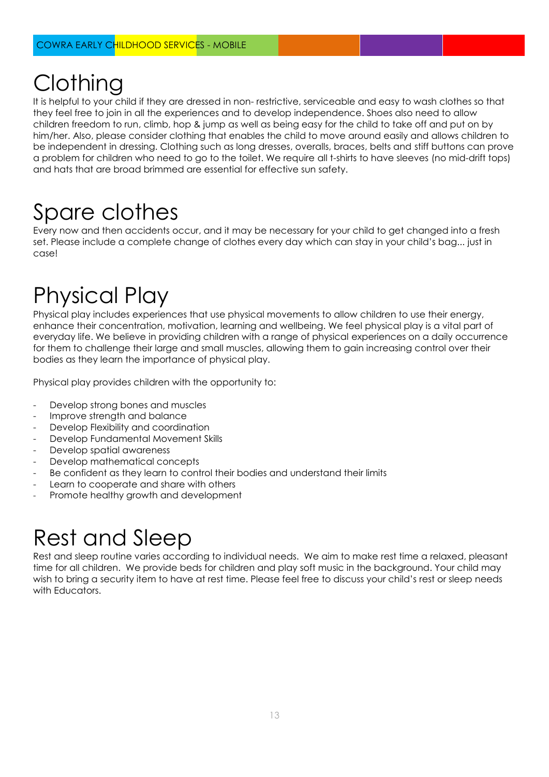# **Clothing**

It is helpful to your child if they are dressed in non- restrictive, serviceable and easy to wash clothes so that they feel free to join in all the experiences and to develop independence. Shoes also need to allow children freedom to run, climb, hop & jump as well as being easy for the child to take off and put on by him/her. Also, please consider clothing that enables the child to move around easily and allows children to be independent in dressing. Clothing such as long dresses, overalls, braces, belts and stiff buttons can prove a problem for children who need to go to the toilet. We require all t-shirts to have sleeves (no mid-drift tops) and hats that are broad brimmed are essential for effective sun safety.

# Spare clothes

Every now and then accidents occur, and it may be necessary for your child to get changed into a fresh set. Please include a complete change of clothes every day which can stay in your child's bag... just in case!

## Physical Play

Physical play includes experiences that use physical movements to allow children to use their energy, enhance their concentration, motivation, learning and wellbeing. We feel physical play is a vital part of everyday life. We believe in providing children with a range of physical experiences on a daily occurrence for them to challenge their large and small muscles, allowing them to gain increasing control over their bodies as they learn the importance of physical play.

Physical play provides children with the opportunity to:

- Develop strong bones and muscles
- Improve strength and balance
- Develop Flexibility and coordination
- Develop Fundamental Movement Skills
- Develop spatial awareness
- Develop mathematical concepts
- Be confident as they learn to control their bodies and understand their limits
- Learn to cooperate and share with others
- Promote healthy growth and development

### Rest and Sleep

Rest and sleep routine varies according to individual needs. We aim to make rest time a relaxed, pleasant time for all children. We provide beds for children and play soft music in the background. Your child may wish to bring a security item to have at rest time. Please feel free to discuss your child's rest or sleep needs with Educators.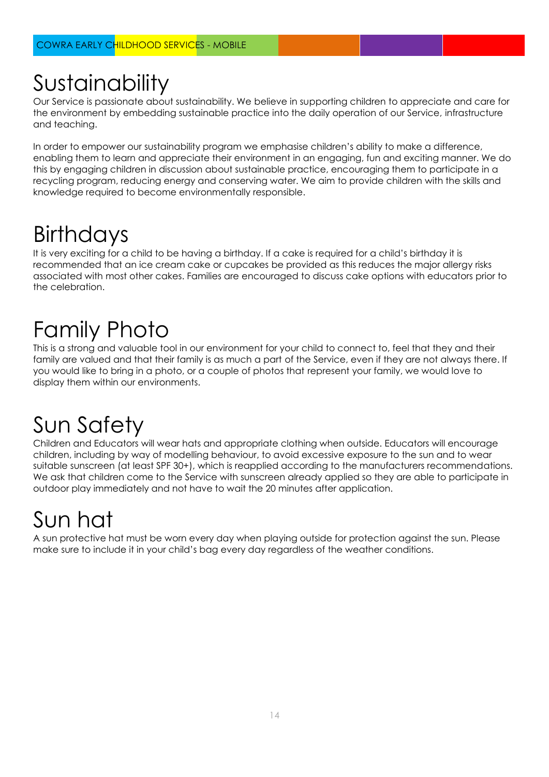## Sustainability

Our Service is passionate about sustainability. We believe in supporting children to appreciate and care for the environment by embedding sustainable practice into the daily operation of our Service, infrastructure and teaching.

In order to empower our sustainability program we emphasise children's ability to make a difference, enabling them to learn and appreciate their environment in an engaging, fun and exciting manner. We do this by engaging children in discussion about sustainable practice, encouraging them to participate in a recycling program, reducing energy and conserving water. We aim to provide children with the skills and knowledge required to become environmentally responsible.

# **Birthdays**

It is very exciting for a child to be having a birthday. If a cake is required for a child's birthday it is recommended that an ice cream cake or cupcakes be provided as this reduces the major allergy risks associated with most other cakes. Families are encouraged to discuss cake options with educators prior to the celebration.

# Family Photo

This is a strong and valuable tool in our environment for your child to connect to, feel that they and their family are valued and that their family is as much a part of the Service, even if they are not always there. If you would like to bring in a photo, or a couple of photos that represent your family, we would love to display them within our environments.

# Sun Safety

Children and Educators will wear hats and appropriate clothing when outside. Educators will encourage children, including by way of modelling behaviour, to avoid excessive exposure to the sun and to wear suitable sunscreen (at least SPF 30+), which is reapplied according to the manufacturers recommendations. We ask that children come to the Service with sunscreen already applied so they are able to participate in outdoor play immediately and not have to wait the 20 minutes after application.

# Sun hat

A sun protective hat must be worn every day when playing outside for protection against the sun. Please make sure to include it in your child's bag every day regardless of the weather conditions.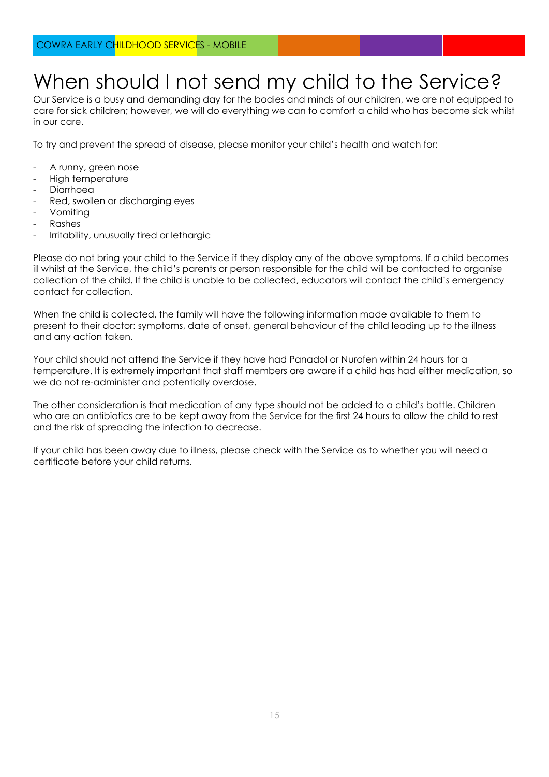#### When should I not send my child to the Service?

Our Service is a busy and demanding day for the bodies and minds of our children, we are not equipped to care for sick children; however, we will do everything we can to comfort a child who has become sick whilst in our care.

To try and prevent the spread of disease, please monitor your child's health and watch for:

- A runny, green nose
- High temperature
- Diarrhoea
- Red, swollen or discharging eyes
- Vomiting
- **Rashes**
- Irritability, unusually tired or lethargic

Please do not bring your child to the Service if they display any of the above symptoms. If a child becomes ill whilst at the Service, the child's parents or person responsible for the child will be contacted to organise collection of the child. If the child is unable to be collected, educators will contact the child's emergency contact for collection.

When the child is collected, the family will have the following information made available to them to present to their doctor: symptoms, date of onset, general behaviour of the child leading up to the illness and any action taken.

Your child should not attend the Service if they have had Panadol or Nurofen within 24 hours for a temperature. It is extremely important that staff members are aware if a child has had either medication, so we do not re-administer and potentially overdose.

The other consideration is that medication of any type should not be added to a child's bottle. Children who are on antibiotics are to be kept away from the Service for the first 24 hours to allow the child to rest and the risk of spreading the infection to decrease.

If your child has been away due to illness, please check with the Service as to whether you will need a certificate before your child returns.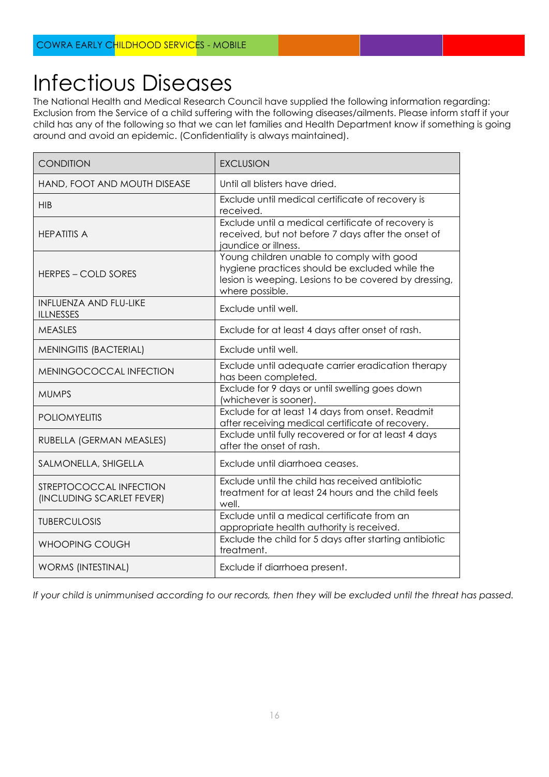### Infectious Diseases

The National Health and Medical Research Council have supplied the following information regarding: Exclusion from the Service of a child suffering with the following diseases/ailments. Please inform staff if your child has any of the following so that we can let families and Health Department know if something is going around and avoid an epidemic. (Confidentiality is always maintained).

| <b>CONDITION</b>                                     | <b>EXCLUSION</b>                                                                                                                                                        |
|------------------------------------------------------|-------------------------------------------------------------------------------------------------------------------------------------------------------------------------|
| HAND, FOOT AND MOUTH DISEASE                         | Until all blisters have dried.                                                                                                                                          |
| <b>HIB</b>                                           | Exclude until medical certificate of recovery is<br>received.                                                                                                           |
| <b>HEPATITIS A</b>                                   | Exclude until a medical certificate of recovery is<br>received, but not before 7 days after the onset of<br>jaundice or illness.                                        |
| <b>HERPES – COLD SORES</b>                           | Young children unable to comply with good<br>hygiene practices should be excluded while the<br>lesion is weeping. Lesions to be covered by dressing,<br>where possible. |
| <b>INFLUENZA AND FLU-LIKE</b><br><b>ILLNESSES</b>    | Exclude until well.                                                                                                                                                     |
| <b>MEASLES</b>                                       | Exclude for at least 4 days after onset of rash.                                                                                                                        |
| <b>MENINGITIS (BACTERIAL)</b>                        | Exclude until well.                                                                                                                                                     |
| MENINGOCOCCAL INFECTION                              | Exclude until adequate carrier eradication therapy<br>has been completed.                                                                                               |
| <b>MUMPS</b>                                         | Exclude for 9 days or until swelling goes down<br>(whichever is sooner).                                                                                                |
| <b>POLIOMYELITIS</b>                                 | Exclude for at least 14 days from onset. Readmit<br>after receiving medical certificate of recovery.                                                                    |
| RUBELLA (GERMAN MEASLES)                             | Exclude until fully recovered or for at least 4 days<br>after the onset of rash.                                                                                        |
| SALMONELLA, SHIGELLA                                 | Exclude until diarrhoea ceases.                                                                                                                                         |
| STREPTOCOCCAL INFECTION<br>(INCLUDING SCARLET FEVER) | Exclude until the child has received antibiotic<br>treatment for at least 24 hours and the child feels<br>well.                                                         |
| <b>TUBERCULOSIS</b>                                  | Exclude until a medical certificate from an<br>appropriate health authority is received.                                                                                |
| <b>WHOOPING COUGH</b>                                | Exclude the child for 5 days after starting antibiotic<br>treatment.                                                                                                    |
| <b>WORMS (INTESTINAL)</b>                            | Exclude if diarrhoea present.                                                                                                                                           |

*If your child is unimmunised according to our records, then they will be excluded until the threat has passed.*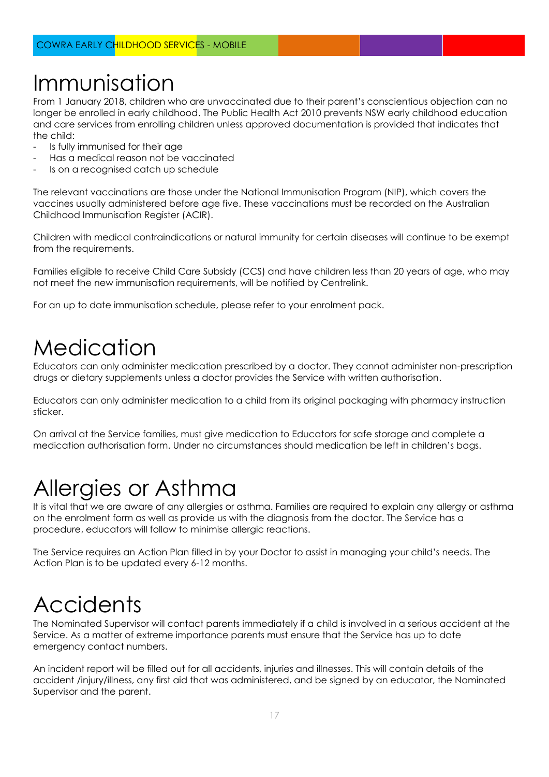### Immunisation

From 1 January 2018, children who are unvaccinated due to their parent's conscientious objection can no longer be enrolled in early childhood. The Public Health Act 2010 prevents NSW early childhood education and care services from enrolling children unless approved documentation is provided that indicates that the child:

- Is fully immunised for their age
- Has a medical reason not be vaccinated
- Is on a recognised catch up schedule

The relevant vaccinations are those under the National Immunisation Program (NIP), which covers the vaccines usually administered before age five. These vaccinations must be recorded on the Australian Childhood Immunisation Register (ACIR).

Children with medical contraindications or natural immunity for certain diseases will continue to be exempt from the requirements.

Families eligible to receive Child Care Subsidy (CCS) and have children less than 20 years of age, who may not meet the new immunisation requirements, will be notified by Centrelink.

For an up to date immunisation schedule, please refer to your enrolment pack.

### **Medication**

Educators can only administer medication prescribed by a doctor. They cannot administer non-prescription drugs or dietary supplements unless a doctor provides the Service with written authorisation.

Educators can only administer medication to a child from its original packaging with pharmacy instruction sticker.

On arrival at the Service families, must give medication to Educators for safe storage and complete a medication authorisation form. Under no circumstances should medication be left in children's bags.

### Allergies or Asthma

It is vital that we are aware of any allergies or asthma. Families are required to explain any allergy or asthma on the enrolment form as well as provide us with the diagnosis from the doctor. The Service has a procedure, educators will follow to minimise allergic reactions.

The Service requires an Action Plan filled in by your Doctor to assist in managing your child's needs. The Action Plan is to be updated every 6-12 months.

#### **Accidents**

The Nominated Supervisor will contact parents immediately if a child is involved in a serious accident at the Service. As a matter of extreme importance parents must ensure that the Service has up to date emergency contact numbers.

An incident report will be filled out for all accidents, injuries and illnesses. This will contain details of the accident /injury/illness, any first aid that was administered, and be signed by an educator, the Nominated Supervisor and the parent.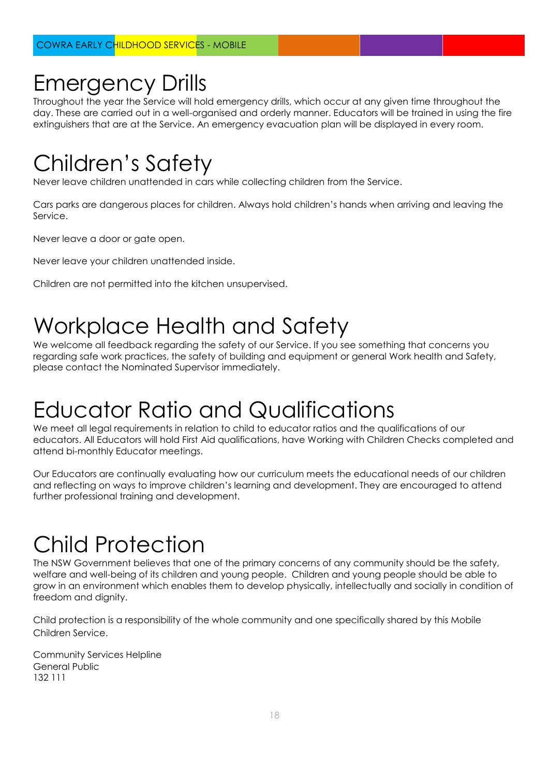#### Emergency Drills

Throughout the year the Service will hold emergency drills, which occur at any given time throughout the day. These are carried out in a well-organised and orderly manner. Educators will be trained in using the fire extinguishers that are at the Service. An emergency evacuation plan will be displayed in every room.

### Children's Safety

Never leave children unattended in cars while collecting children from the Service.

Cars parks are dangerous places for children. Always hold children's hands when arriving and leaving the Service.

Never leave a door or gate open.

Never leave your children unattended inside.

Children are not permitted into the kitchen unsupervised.

### Workplace Health and Safety

We welcome all feedback regarding the safety of our Service. If you see something that concerns you regarding safe work practices, the safety of building and equipment or general Work health and Safety, please contact the Nominated Supervisor immediately.

### Educator Ratio and Qualifications

We meet all legal requirements in relation to child to educator ratios and the qualifications of our educators. All Educators will hold First Aid qualifications, have Working with Children Checks completed and attend bi-monthly Educator meetings.

Our Educators are continually evaluating how our curriculum meets the educational needs of our children and reflecting on ways to improve children's learning and development. They are encouraged to attend further professional training and development.

# Child Protection

The NSW Government believes that one of the primary concerns of any community should be the safety, welfare and well-being of its children and young people. Children and young people should be able to grow in an environment which enables them to develop physically, intellectually and socially in condition of freedom and dignity.

Child protection is a responsibility of the whole community and one specifically shared by this Mobile Children Service.

Community Services Helpline General Public 132 111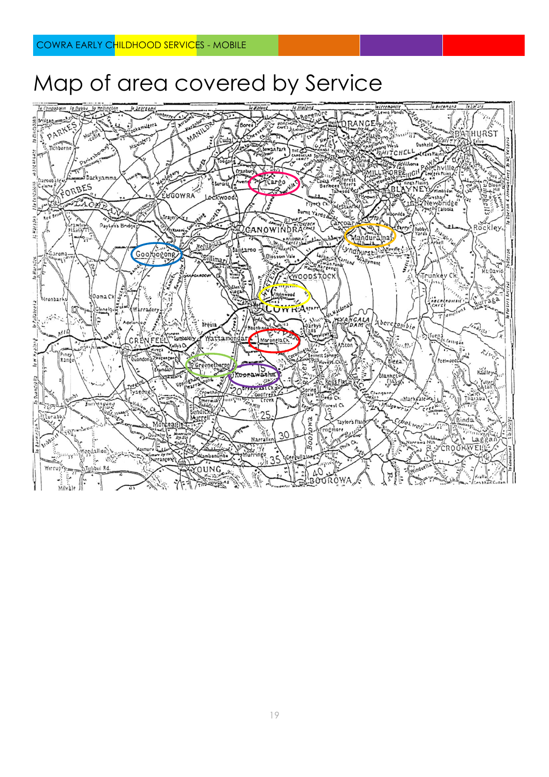#### Map of area covered by Service